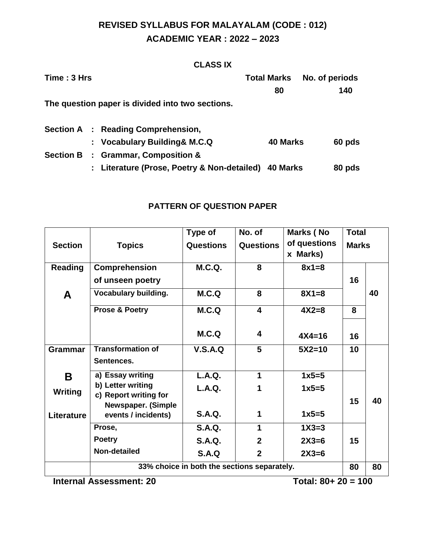## **REVISED SYLLABUS FOR MALAYALAM (CODE : 012) ACADEMIC YEAR : 2022 – 2023**

### **CLASS IX**

| Time: 3 Hrs      |  |                                                      | <b>Total Marks</b> | No. of periods |  |
|------------------|--|------------------------------------------------------|--------------------|----------------|--|
|                  |  |                                                      | 80                 | 140            |  |
|                  |  | The question paper is divided into two sections.     |                    |                |  |
|                  |  | <b>Section A : Reading Comprehension,</b>            |                    |                |  |
|                  |  | : Vocabulary Building & M.C.Q                        | 40 Marks           | 60 pds         |  |
| <b>Section B</b> |  | : Grammar, Composition &                             |                    |                |  |
|                  |  | : Literature (Prose, Poetry & Non-detailed) 40 Marks |                    | 80 pds         |  |

### **PATTERN OF QUESTION PAPER**

|                |                                                    | Type of          | No. of                  | Marks (No                              | <b>Total</b> |    |
|----------------|----------------------------------------------------|------------------|-------------------------|----------------------------------------|--------------|----|
| <b>Section</b> | <b>Topics</b>                                      | <b>Questions</b> | <b>Questions</b>        | of questions<br>Marks)<br>$\mathbf{x}$ | <b>Marks</b> |    |
| <b>Reading</b> | Comprehension                                      | M.C.Q.           | 8                       | $8x1=8$                                |              |    |
|                | of unseen poetry                                   |                  |                         |                                        | 16           |    |
| A              | <b>Vocabulary building.</b>                        | M.C.Q            | 8                       | $8X1 = 8$                              |              | 40 |
|                | <b>Prose &amp; Poetry</b>                          | M.C.Q            | $\overline{\mathbf{4}}$ | $4X2=8$                                | 8            |    |
|                |                                                    | M.C.Q            | $\overline{\mathbf{4}}$ | $4X4 = 16$                             | 16           |    |
| <b>Grammar</b> | <b>Transformation of</b><br>Sentences.             | V.S.A.Q          | 5                       | $5X2=10$                               | 10           |    |
| B              | a) Essay writing                                   | <b>L.A.Q.</b>    | 1                       | $1x5=5$                                |              |    |
| Writing        | b) Letter writing                                  | <b>L.A.Q.</b>    | 1                       | $1x5=5$                                |              |    |
|                | c) Report writing for<br><b>Newspaper. (Simple</b> |                  |                         |                                        | 15           | 40 |
| Literature     | events / incidents)                                | <b>S.A.Q.</b>    | 1                       | $1x5=5$                                |              |    |
|                | Prose,                                             | <b>S.A.Q.</b>    | 1                       | $1X3=3$                                |              |    |
|                | <b>Poetry</b>                                      | <b>S.A.Q.</b>    | $\mathbf{2}$            | $2X3=6$                                | 15           |    |
|                | Non-detailed                                       | S.A.Q            | $\mathbf{2}$            | $2X3=6$                                |              |    |
|                | 33% choice in both the sections separately.        |                  |                         |                                        | 80           | 80 |

**Internal Assessment: 20 Total: 80+ 20 = 100**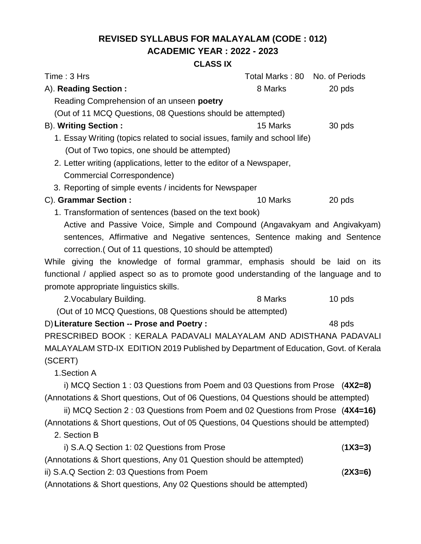## **REVISED SYLLABUS FOR MALAYALAM (CODE : 012) ACADEMIC YEAR : 2022 - 2023**

### **CLASS IX**

| Time: 3 Hrs                                                                            | Total Marks: 80 No. of Periods |           |  |  |
|----------------------------------------------------------------------------------------|--------------------------------|-----------|--|--|
| A). Reading Section:                                                                   | 8 Marks                        | 20 pds    |  |  |
| Reading Comprehension of an unseen poetry                                              |                                |           |  |  |
| (Out of 11 MCQ Questions, 08 Questions should be attempted)                            |                                |           |  |  |
| <b>B). Writing Section:</b>                                                            | 15 Marks                       | 30 pds    |  |  |
| 1. Essay Writing (topics related to social issues, family and school life)             |                                |           |  |  |
| (Out of Two topics, one should be attempted)                                           |                                |           |  |  |
| 2. Letter writing (applications, letter to the editor of a Newspaper,                  |                                |           |  |  |
| Commercial Correspondence)                                                             |                                |           |  |  |
| 3. Reporting of simple events / incidents for Newspaper                                |                                |           |  |  |
| C). Grammar Section :                                                                  | 10 Marks                       | 20 pds    |  |  |
| 1. Transformation of sentences (based on the text book)                                |                                |           |  |  |
| Active and Passive Voice, Simple and Compound (Angavakyam and Angivakyam)              |                                |           |  |  |
| sentences, Affirmative and Negative sentences, Sentence making and Sentence            |                                |           |  |  |
| correction. (Out of 11 questions, 10 should be attempted)                              |                                |           |  |  |
| While giving the knowledge of formal grammar, emphasis should be laid on its           |                                |           |  |  |
| functional / applied aspect so as to promote good understanding of the language and to |                                |           |  |  |
| promote appropriate linguistics skills.                                                |                                |           |  |  |
| 2. Vocabulary Building.                                                                | 8 Marks                        | 10 pds    |  |  |
| (Out of 10 MCQ Questions, 08 Questions should be attempted)                            |                                |           |  |  |
| D) Literature Section -- Prose and Poetry :                                            | 48 pds                         |           |  |  |
| PRESCRIBED BOOK: KERALA PADAVALI MALAYALAM AND ADISTHANA PADAVALI                      |                                |           |  |  |
| MALAYALAM STD-IX EDITION 2019 Published by Department of Education, Govt. of Kerala    |                                |           |  |  |
| (SCERT)                                                                                |                                |           |  |  |
| 1.Section A                                                                            |                                |           |  |  |
| i) MCQ Section 1 : 03 Questions from Poem and 03 Questions from Prose $(4X2=8)$        |                                |           |  |  |
| (Annotations & Short questions, Out of 06 Questions, 04 Questions should be attempted) |                                |           |  |  |
| ii) MCQ Section 2:03 Questions from Poem and 02 Questions from Prose (4X4=16)          |                                |           |  |  |
| (Annotations & Short questions, Out of 05 Questions, 04 Questions should be attempted) |                                |           |  |  |
| 2. Section B                                                                           |                                |           |  |  |
| i) S.A.Q Section 1: 02 Questions from Prose                                            |                                | $(1X3=3)$ |  |  |
| (Annotations & Short questions, Any 01 Question should be attempted)                   |                                |           |  |  |
| ii) S.A.Q Section 2: 03 Questions from Poem                                            |                                | $(2X3=6)$ |  |  |
| (Annotations & Short questions, Any 02 Questions should be attempted)                  |                                |           |  |  |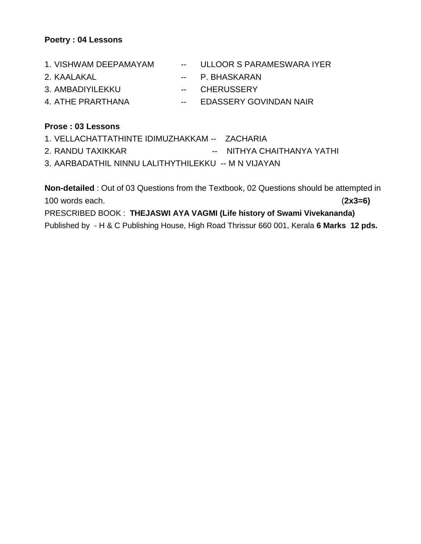#### **Poetry : 04 Lessons**

| 1. VISHWAM DEEPAMAYAM | -- ULLOOR S PARAMESWARA IYER |
|-----------------------|------------------------------|
| 2. KAALAKAL           | -- P. BHASKARAN              |
| 3. AMBADIYILEKKU      | -- CHERUSSERY                |
| 4. ATHE PRARTHANA     | -- EDASSERY GOVINDAN NAIR    |
|                       |                              |

### **Prose : 03 Lessons**

1. VELLACHATTATHINTE IDIMUZHAKKAM -- ZACHARIA 2. RANDU TAXIKKAR -- NITHYA CHAITHANYA YATHI 3. AARBADATHIL NINNU LALITHYTHILEKKU -- M N VIJAYAN

**Non-detailed** : Out of 03 Questions from the Textbook, 02 Questions should be attempted in 100 words each. (**2x3=6)** PRESCRIBED BOOK : **THEJASWI AYA VAGMI (Life history of Swami Vivekananda)** Published by - H & C Publishing House, High Road Thrissur 660 001, Kerala **6 Marks 12 pds.**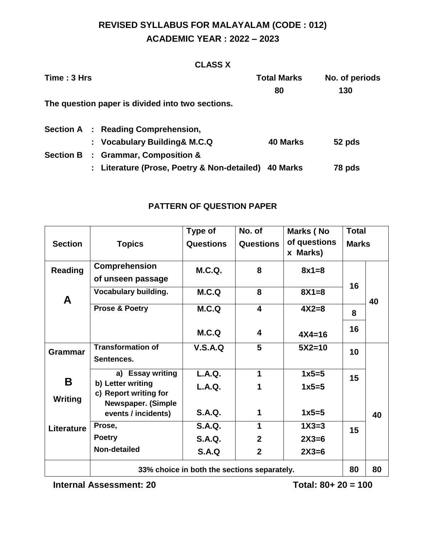## **REVISED SYLLABUS FOR MALAYALAM (CODE : 012) ACADEMIC YEAR : 2022 – 2023**

### **CLASS X**

| Time: 3 Hrs      |                           |                                                    | <b>Total Marks</b> | No. of periods |  |
|------------------|---------------------------|----------------------------------------------------|--------------------|----------------|--|
|                  |                           |                                                    | 80                 | 130            |  |
|                  |                           | The question paper is divided into two sections.   |                    |                |  |
|                  |                           | <b>Section A : Reading Comprehension,</b>          |                    |                |  |
|                  |                           | : Vocabulary Building& M.C.Q                       | <b>40 Marks</b>    | 52 pds         |  |
| <b>Section B</b> |                           | : Grammar, Composition &                           |                    |                |  |
|                  | $\mathbb{Z}^{\mathbb{Z}}$ | Literature (Prose, Poetry & Non-detailed) 40 Marks |                    | 78 pds         |  |

### **PATTERN OF QUESTION PAPER**

|                   |                                             | Type of          | No. of                  | Marks (No                | <b>Total</b> |    |
|-------------------|---------------------------------------------|------------------|-------------------------|--------------------------|--------------|----|
| <b>Section</b>    | <b>Topics</b>                               | <b>Questions</b> | <b>Questions</b>        | of questions<br>x Marks) | <b>Marks</b> |    |
| Reading           | Comprehension                               | <b>M.C.Q.</b>    | 8                       | $8x1=8$                  |              |    |
|                   | of unseen passage                           |                  |                         |                          | 16           |    |
| A                 | <b>Vocabulary building.</b>                 | M.C.Q            | 8                       | $8X1 = 8$                |              | 40 |
|                   | <b>Prose &amp; Poetry</b>                   | M.C.Q            | $\overline{\mathbf{4}}$ | $4X2=8$                  | 8            |    |
|                   |                                             | M.C.Q            | 4                       | $4X4 = 16$               | 16           |    |
| <b>Grammar</b>    | <b>Transformation of</b><br>Sentences.      | V.S.A.Q          | 5                       | $5X2=10$                 | 10           |    |
|                   |                                             |                  |                         |                          |              |    |
| Β                 | a) Essay writing                            | <b>L.A.Q.</b>    | 1                       | $1x5=5$                  | 15           |    |
|                   | b) Letter writing<br>c) Report writing for  | L.A.Q.           | 1                       | $1x5=5$                  |              |    |
| Writing           | Newspaper. (Simple                          |                  |                         |                          |              |    |
|                   | events / incidents)                         | <b>S.A.Q.</b>    | 1                       | $1x5=5$                  |              | 40 |
| <b>Literature</b> | Prose,                                      | <b>S.A.Q.</b>    | 1                       | $1X3=3$                  | 15           |    |
|                   | <b>Poetry</b>                               | <b>S.A.Q.</b>    | $\overline{2}$          | $2X3=6$                  |              |    |
|                   | Non-detailed                                | <b>S.A.Q</b>     | $\overline{2}$          | $2X3=6$                  |              |    |
|                   | 33% choice in both the sections separately. |                  |                         |                          | 80           | 80 |

**Internal Assessment: 20** Total: 80+ 20 = 100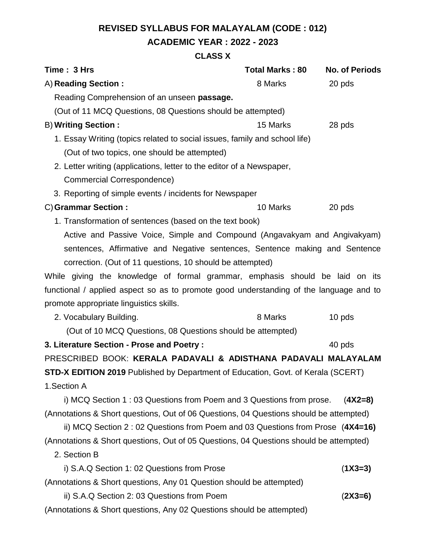# **REVISED SYLLABUS FOR MALAYALAM (CODE : 012) ACADEMIC YEAR : 2022 - 2023**

### **CLASS X**

| Time: 3 Hrs                                                                            | <b>Total Marks: 80</b> | <b>No. of Periods</b> |  |  |  |
|----------------------------------------------------------------------------------------|------------------------|-----------------------|--|--|--|
| A) Reading Section:                                                                    | 8 Marks                | 20 pds                |  |  |  |
| Reading Comprehension of an unseen passage.                                            |                        |                       |  |  |  |
| (Out of 11 MCQ Questions, 08 Questions should be attempted)                            |                        |                       |  |  |  |
| <b>B) Writing Section:</b>                                                             | 15 Marks               | 28 pds                |  |  |  |
| 1. Essay Writing (topics related to social issues, family and school life)             |                        |                       |  |  |  |
| (Out of two topics, one should be attempted)                                           |                        |                       |  |  |  |
| 2. Letter writing (applications, letter to the editor of a Newspaper,                  |                        |                       |  |  |  |
| <b>Commercial Correspondence)</b>                                                      |                        |                       |  |  |  |
| 3. Reporting of simple events / incidents for Newspaper                                |                        |                       |  |  |  |
| C) Grammar Section:                                                                    | 10 Marks               | 20 pds                |  |  |  |
| 1. Transformation of sentences (based on the text book)                                |                        |                       |  |  |  |
| Active and Passive Voice, Simple and Compound (Angavakyam and Angivakyam)              |                        |                       |  |  |  |
| sentences, Affirmative and Negative sentences, Sentence making and Sentence            |                        |                       |  |  |  |
| correction. (Out of 11 questions, 10 should be attempted)                              |                        |                       |  |  |  |
| While giving the knowledge of formal grammar, emphasis should be laid on its           |                        |                       |  |  |  |
| functional / applied aspect so as to promote good understanding of the language and to |                        |                       |  |  |  |
| promote appropriate linguistics skills.                                                |                        |                       |  |  |  |
| 2. Vocabulary Building.                                                                | 8 Marks                | 10 pds                |  |  |  |
| (Out of 10 MCQ Questions, 08 Questions should be attempted)                            |                        |                       |  |  |  |
| 3. Literature Section - Prose and Poetry :                                             |                        | 40 pds                |  |  |  |
| PRESCRIBED BOOK: KERALA PADAVALI & ADISTHANA PADAVALI MALAYALAM                        |                        |                       |  |  |  |
| STD-X EDITION 2019 Published by Department of Education, Govt. of Kerala (SCERT)       |                        |                       |  |  |  |
| 1.Section A                                                                            |                        |                       |  |  |  |
| i) MCQ Section 1:03 Questions from Poem and 3 Questions from prose.                    |                        | $(4X2=8)$             |  |  |  |
| (Annotations & Short questions, Out of 06 Questions, 04 Questions should be attempted) |                        |                       |  |  |  |
| ii) MCQ Section 2:02 Questions from Poem and 03 Questions from Prose (4X4=16)          |                        |                       |  |  |  |
| (Annotations & Short questions, Out of 05 Questions, 04 Questions should be attempted) |                        |                       |  |  |  |
| 2. Section B                                                                           |                        |                       |  |  |  |
| i) S.A.Q Section 1: 02 Questions from Prose                                            |                        | $(1X3=3)$             |  |  |  |
| (Annotations & Short questions, Any 01 Question should be attempted)                   |                        |                       |  |  |  |
| ii) S.A.Q Section 2: 03 Questions from Poem                                            |                        | $(2X3=6)$             |  |  |  |
| (Annotations & Short questions, Any 02 Questions should be attempted)                  |                        |                       |  |  |  |